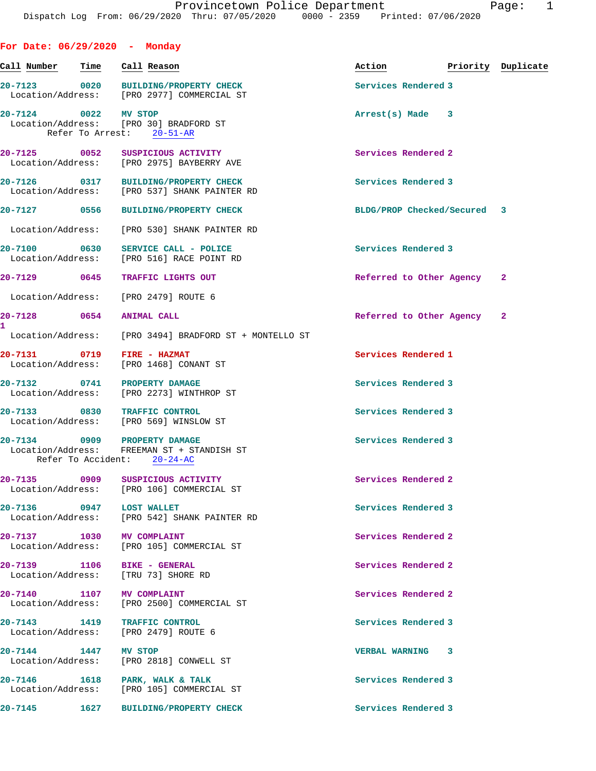| For Date: $06/29/2020 -$ Monday                                      |      |                                                                                      |                             |                    |  |
|----------------------------------------------------------------------|------|--------------------------------------------------------------------------------------|-----------------------------|--------------------|--|
| Call Number                                                          | Time | Call Reason                                                                          | Action                      | Priority Duplicate |  |
|                                                                      |      | 20-7123 0020 BUILDING/PROPERTY CHECK<br>Location/Address: [PRO 2977] COMMERCIAL ST   | Services Rendered 3         |                    |  |
| 20-7124 0022 MV STOP                                                 |      | Location/Address: [PRO 30] BRADFORD ST<br>Refer To Arrest: 20-51-AR                  | Arrest(s) Made              | 3                  |  |
| 20-7125 0052                                                         |      | SUSPICIOUS ACTIVITY<br>Location/Address: [PRO 2975] BAYBERRY AVE                     | Services Rendered 2         |                    |  |
|                                                                      |      | 20-7126 0317 BUILDING/PROPERTY CHECK<br>Location/Address: [PRO 537] SHANK PAINTER RD | Services Rendered 3         |                    |  |
|                                                                      |      | 20-7127 0556 BUILDING/PROPERTY CHECK                                                 | BLDG/PROP Checked/Secured 3 |                    |  |
|                                                                      |      | Location/Address: [PRO 530] SHANK PAINTER RD                                         |                             |                    |  |
| 20-7100                                                              | 0630 | SERVICE CALL - POLICE<br>Location/Address: [PRO 516] RACE POINT RD                   | Services Rendered 3         |                    |  |
| 20-7129 0645                                                         |      | TRAFFIC LIGHTS OUT                                                                   | Referred to Other Agency 2  |                    |  |
| Location/Address: [PRO 2479] ROUTE 6                                 |      |                                                                                      |                             |                    |  |
| 20-7128 0654 ANIMAL CALL<br>1                                        |      |                                                                                      | Referred to Other Agency 2  |                    |  |
|                                                                      |      | Location/Address: [PRO 3494] BRADFORD ST + MONTELLO ST                               |                             |                    |  |
| 20-7131 0719                                                         |      | FIRE - HAZMAT<br>Location/Address: [PRO 1468] CONANT ST                              | Services Rendered 1         |                    |  |
| 20-7132 0741 PROPERTY DAMAGE                                         |      | Location/Address: [PRO 2273] WINTHROP ST                                             | Services Rendered 3         |                    |  |
| 20-7133 0830 TRAFFIC CONTROL                                         |      | Location/Address: [PRO 569] WINSLOW ST                                               | Services Rendered 3         |                    |  |
| 20-7134 0909 PROPERTY DAMAGE                                         |      | Location/Address: FREEMAN ST + STANDISH ST<br>Refer To Accident: 20-24-AC            | Services Rendered 3         |                    |  |
|                                                                      |      | 20-7135 0909 SUSPICIOUS ACTIVITY<br>Location/Address: [PRO 106] COMMERCIAL ST        | Services Rendered 2         |                    |  |
| 20-7136 0947 LOST WALLET                                             |      | Location/Address: [PRO 542] SHANK PAINTER RD                                         | Services Rendered 3         |                    |  |
| 20-7137 1030 MV COMPLAINT                                            |      | Location/Address: [PRO 105] COMMERCIAL ST                                            | Services Rendered 2         |                    |  |
| 20-7139 1106 BIKE - GENERAL<br>Location/Address: [TRU 73] SHORE RD   |      |                                                                                      | Services Rendered 2         |                    |  |
| 20-7140 1107 MV COMPLAINT                                            |      | Location/Address: [PRO 2500] COMMERCIAL ST                                           | Services Rendered 2         |                    |  |
| 20-7143 1419 TRAFFIC CONTROL<br>Location/Address: [PRO 2479] ROUTE 6 |      |                                                                                      | Services Rendered 3         |                    |  |
| 20-7144 1447 MV STOP                                                 |      | Location/Address: [PRO 2818] CONWELL ST                                              | <b>VERBAL WARNING 3</b>     |                    |  |
|                                                                      |      | 20-7146 1618 PARK, WALK & TALK<br>Location/Address: [PRO 105] COMMERCIAL ST          | Services Rendered 3         |                    |  |
|                                                                      |      | 20-7145 1627 BUILDING/PROPERTY CHECK                                                 | Services Rendered 3         |                    |  |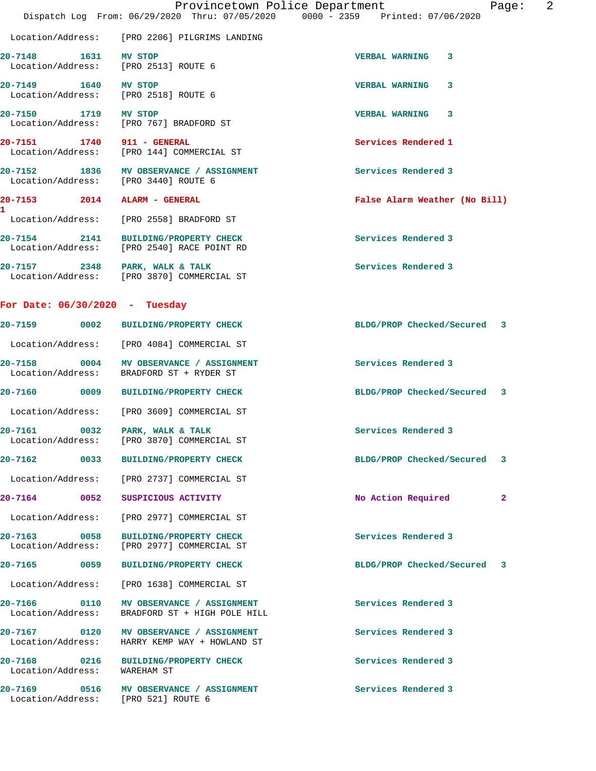|                                                                     | Provincetown Police Department<br>Dispatch Log From: 06/29/2020 Thru: 07/05/2020 0000 - 2359 Printed: 07/06/2020 | 2<br>Page:                     |
|---------------------------------------------------------------------|------------------------------------------------------------------------------------------------------------------|--------------------------------|
|                                                                     | Location/Address: [PRO 2206] PILGRIMS LANDING                                                                    |                                |
| 1631 MV STOP<br>$20 - 7148$<br>Location/Address: [PRO 2513] ROUTE 6 |                                                                                                                  | <b>VERBAL WARNING 3</b>        |
| 20-7149 1640 MV STOP<br>Location/Address: [PRO 2518] ROUTE 6        |                                                                                                                  | <b>VERBAL WARNING</b><br>3     |
| 20-7150 1719 MV STOP                                                | Location/Address: [PRO 767] BRADFORD ST                                                                          | VERBAL WARNING 3               |
| 20-7151 1740 911 - GENERAL                                          | Location/Address: [PRO 144] COMMERCIAL ST                                                                        | Services Rendered 1            |
| $20 - 7152$<br>Location/Address: [PRO 3440] ROUTE 6                 | 1836 MV OBSERVANCE / ASSIGNMENT                                                                                  | Services Rendered 3            |
| 20-7153 2014 ALARM - GENERAL                                        |                                                                                                                  | False Alarm Weather (No Bill)  |
|                                                                     | Location/Address: [PRO 2558] BRADFORD ST                                                                         |                                |
|                                                                     | 20-7154 2141 BUILDING/PROPERTY CHECK<br>Location/Address: [PRO 2540] RACE POINT RD                               | Services Rendered 3            |
| 20-7157 2348 PARK, WALK & TALK                                      | Location/Address: [PRO 3870] COMMERCIAL ST                                                                       | Services Rendered 3            |
| For Date: $06/30/2020 - Tuesday$                                    |                                                                                                                  |                                |
|                                                                     | 20-7159 0002 BUILDING/PROPERTY CHECK                                                                             | BLDG/PROP Checked/Secured 3    |
|                                                                     | Location/Address: [PRO 4084] COMMERCIAL ST                                                                       |                                |
|                                                                     | 20-7158 0004 MV OBSERVANCE / ASSIGNMENT<br>Location/Address: BRADFORD ST + RYDER ST                              | Services Rendered 3            |
|                                                                     | 20-7160 0009 BUILDING/PROPERTY CHECK                                                                             | BLDG/PROP Checked/Secured 3    |
|                                                                     | Location/Address: [PRO 3609] COMMERCIAL ST                                                                       |                                |
| 20-7161<br>$\overline{0032}$<br>Location/Address:                   | PARK, WALK & TALK<br>[PRO 3870] COMMERCIAL ST                                                                    | Services Rendered 3            |
| 20-7162<br>0033                                                     | <b>BUILDING/PROPERTY CHECK</b>                                                                                   | BLDG/PROP Checked/Secured<br>3 |
| Location/Address:                                                   | [PRO 2737] COMMERCIAL ST                                                                                         |                                |
| $20 - 7164$<br>0052                                                 | SUSPICIOUS ACTIVITY                                                                                              | No Action Required<br>2        |
| Location/Address:                                                   | [PRO 2977] COMMERCIAL ST                                                                                         |                                |
| 20-7163 0058<br>Location/Address:                                   | <b>BUILDING/PROPERTY CHECK</b><br>[PRO 2977] COMMERCIAL ST                                                       | Services Rendered 3            |
| 20-7165<br>0059                                                     | <b>BUILDING/PROPERTY CHECK</b>                                                                                   | BLDG/PROP Checked/Secured 3    |
| Location/Address:                                                   | [PRO 1638] COMMERCIAL ST                                                                                         |                                |
| 20-7166 0110<br>Location/Address:                                   | MV OBSERVANCE / ASSIGNMENT<br>BRADFORD ST + HIGH POLE HILL                                                       | Services Rendered 3            |
| 20-7167 0120<br>Location/Address:                                   | MV OBSERVANCE / ASSIGNMENT<br>HARRY KEMP WAY + HOWLAND ST                                                        | Services Rendered 3            |
| 20-7168 0216<br>Location/Address:                                   | BUILDING/PROPERTY CHECK<br>WAREHAM ST                                                                            | Services Rendered 3            |
| 20-7169 0516<br>Location/Address:                                   | MV OBSERVANCE / ASSIGNMENT<br>[PRO 521] ROUTE 6                                                                  | Services Rendered 3            |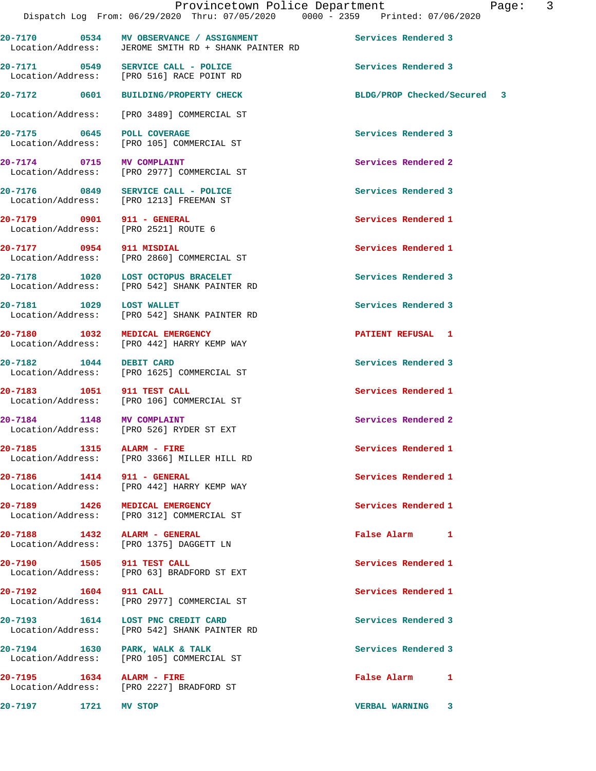**20-7170 0534 MV OBSERVANCE / ASSIGNMENT Services Rendered 3**  Location/Address: JEROME SMITH RD + SHANK PAINTER RD 20-7171 0549 SERVICE CALL - POLICE **SERVICE SERVICE SERVICE SERVICE** Services Rendered 3 Location/Address: [PRO 516] RACE POINT RD **20-7172 0601 BUILDING/PROPERTY CHECK BLDG/PROP Checked/Secured 3** Location/Address: [PRO 3489] COMMERCIAL ST 20-7175 0645 POLL COVERAGE 3<br>
Location/Address: [PRO 105] COMMERCIAL ST Location/Address: **20-7174 0715 MV COMPLAINT Services Rendered 2**  Location/Address: [PRO 2977] COMMERCIAL ST **20-7176 0849 SERVICE CALL - POLICE Services Rendered 3**  Location/Address: [PRO 1213] FREEMAN ST **20-7179 0901 911 - GENERAL Services Rendered 1**  Location/Address: [PRO 2521] ROUTE 6 **20-7177 0954 911 MISDIAL Services Rendered 1**  Location/Address: [PRO 2860] COMMERCIAL ST 20-7178 1020 LOST OCTOPUS BRACELET **1020 Services Rendered 3**  Location/Address: [PRO 542] SHANK PAINTER RD **20-7181 1029 LOST WALLET Services Rendered 3**  Location/Address: [PRO 542] SHANK PAINTER RD **20-7180 1032 MEDICAL EMERGENCY PATIENT REFUSAL 1**  Location/Address: [PRO 442] HARRY KEMP WAY **20-7182 1044 DEBIT CARD Services Rendered 3**  Location/Address: [PRO 1625] COMMERCIAL ST **20-7183 1051 911 TEST CALL 1051 Services Rendered 1 Services Rendered 1** [PRO 106] COMMERCIAL ST **20-7184 1148 MV COMPLAINT Services Rendered 2**  Location/Address: [PRO 526] RYDER ST EXT **20-7185 1315 ALARM - FIRE Services Rendered 1**  Location/Address: [PRO 3366] MILLER HILL RD **20-7186 1414 911 - GENERAL Services Rendered 1**  Location/Address: [PRO 442] HARRY KEMP WAY **20-7189 1426 MEDICAL EMERGENCY Services Rendered 1**  Location/Address: [PRO 312] COMMERCIAL ST **20-7188 1432 ALARM - GENERAL 120 CONSUMING A SERIE RAISE ALARM 1 <br>
Location/Address: [PRO 1375] DAGGETT LN** [PRO 1375] DAGGETT LN **20-7190 1505 911 TEST CALL Services Rendered 1**  Location/Address: [PRO 63] BRADFORD ST EXT **20-7192 1604 911 CALL Services Rendered 1**  Location/Address: [PRO 2977] COMMERCIAL ST **20-7193 1614 LOST PNC CREDIT CARD Services Rendered 3**  Location/Address: [PRO 542] SHANK PAINTER RD **20-7194 1630 PARK, WALK & TALK Services Rendered 3**  Location/Address: [PRO 105] COMMERCIAL ST **20-7195 1634 ALARM - FIRE False Alarm 1**  [PRO 2227] BRADFORD ST **20-7197 1721 MV STOP VERBAL WARNING 3**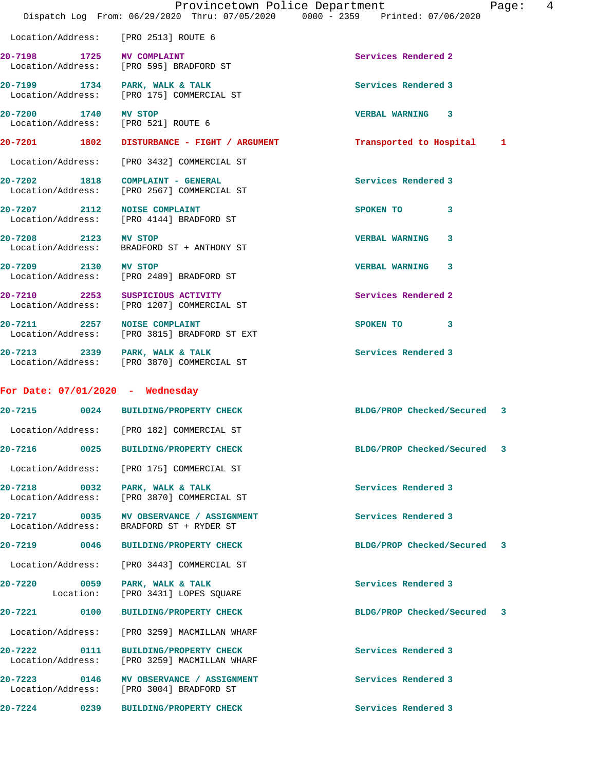|                                                             | Dispatch Log From: 06/29/2020 Thru: 07/05/2020 0000 - 2359 Printed: 07/06/2020 | Provincetown Police Department<br>Page: | - 4 |
|-------------------------------------------------------------|--------------------------------------------------------------------------------|-----------------------------------------|-----|
|                                                             | Location/Address: [PRO 2513] ROUTE 6                                           |                                         |     |
| 20-7198 1725 MV COMPLAINT                                   | Location/Address: [PRO 595] BRADFORD ST                                        | Services Rendered 2                     |     |
|                                                             | 20-7199 1734 PARK, WALK & TALK<br>Location/Address: [PRO 175] COMMERCIAL ST    | Services Rendered 3                     |     |
| 20-7200 1740 MV STOP<br>Location/Address: [PRO 521] ROUTE 6 |                                                                                | VERBAL WARNING 3                        |     |
|                                                             | 20-7201 1802 DISTURBANCE - FIGHT / ARGUMENT                                    | Transported to Hospital 1               |     |
|                                                             | Location/Address: [PRO 3432] COMMERCIAL ST                                     |                                         |     |
|                                                             | 20-7202 1818 COMPLAINT - GENERAL<br>Location/Address: [PRO 2567] COMMERCIAL ST | Services Rendered 3                     |     |
| 20-7207 2112 NOISE COMPLAINT                                | Location/Address: [PRO 4144] BRADFORD ST                                       | SPOKEN TO 3                             |     |
| 20-7208 2123 MV STOP                                        | Location/Address: BRADFORD ST + ANTHONY ST                                     | 3<br><b>VERBAL WARNING</b>              |     |
| 20-7209 2130 MV STOP                                        | Location/Address: [PRO 2489] BRADFORD ST                                       | VERBAL WARNING 3                        |     |
|                                                             | 20-7210 2253 SUSPICIOUS ACTIVITY<br>Location/Address: [PRO 1207] COMMERCIAL ST | Services Rendered 2                     |     |
| 20-7211 2257 NOISE COMPLAINT                                | Location/Address: [PRO 3815] BRADFORD ST EXT                                   | SPOKEN TO 3                             |     |
| 20-7213 2339 PARK, WALK & TALK                              | Location/Address: [PRO 3870] COMMERCIAL ST                                     | Services Rendered 3                     |     |
| For Date: $07/01/2020$ - Wednesday                          |                                                                                |                                         |     |
|                                                             | 20-7215 0024 BUILDING/PROPERTY CHECK                                           | BLDG/PROP Checked/Secured 3             |     |
|                                                             | Location/Address: [PRO 182] COMMERCIAL ST                                      |                                         |     |
|                                                             | 20-7216  0025 BUILDING/PROPERTY CHECK                                          | BLDG/PROP Checked/Secured 3             |     |
|                                                             | Location/Address: [PRO 175] COMMERCIAL ST                                      |                                         |     |
| 20-7218 0032 PARK, WALK & TALK<br>Location/Address:         | [PRO 3870] COMMERCIAL ST                                                       | Services Rendered 3                     |     |
| 20-7217 0035<br>Location/Address:                           | MV OBSERVANCE / ASSIGNMENT<br>BRADFORD ST + RYDER ST                           | Services Rendered 3                     |     |
| 20-7219 0046                                                | BUILDING/PROPERTY CHECK                                                        | BLDG/PROP Checked/Secured 3             |     |
| Location/Address:                                           | [PRO 3443] COMMERCIAL ST                                                       |                                         |     |
| 20-7220<br>Location:                                        | 0059 PARK, WALK & TALK<br>[PRO 3431] LOPES SQUARE                              | Services Rendered 3                     |     |
|                                                             |                                                                                | BLDG/PROP Checked/Secured 3             |     |
| Location/Address:                                           | [PRO 3259] MACMILLAN WHARF                                                     |                                         |     |
| 20-7222 0111<br>Location/Address:                           | <b>BUILDING/PROPERTY CHECK</b><br>[PRO 3259] MACMILLAN WHARF                   | Services Rendered 3                     |     |
| 20-7223 0146                                                | MV OBSERVANCE / ASSIGNMENT<br>Location/Address: [PRO 3004] BRADFORD ST         | Services Rendered 3                     |     |
| 0239<br>20-7224                                             | BUILDING/PROPERTY CHECK                                                        | Services Rendered 3                     |     |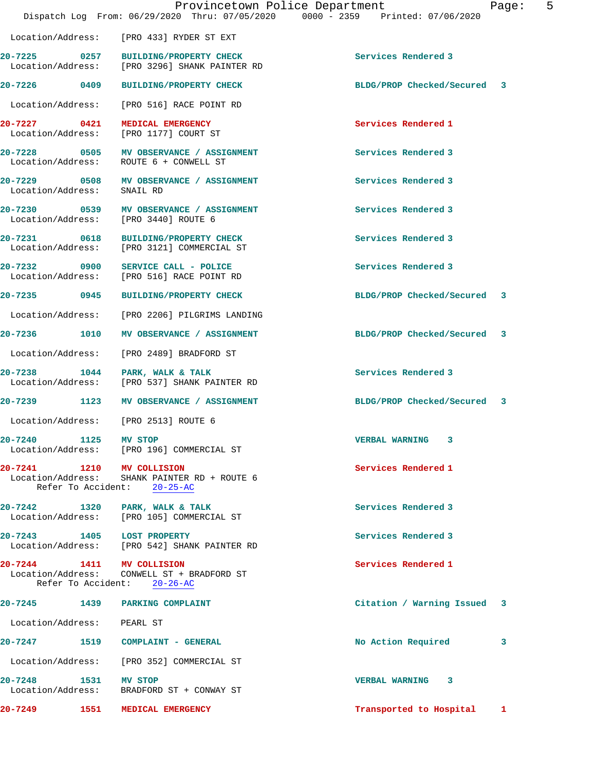|                                   | Provincetown Police Department<br>Dispatch Log From: 06/29/2020 Thru: 07/05/2020 0000 - 2359 Printed: 07/06/2020 |                             | $-5$<br>Page:           |
|-----------------------------------|------------------------------------------------------------------------------------------------------------------|-----------------------------|-------------------------|
| Location/Address:                 | [PRO 433] RYDER ST EXT                                                                                           |                             |                         |
| Location/Address:                 | 20-7225 0257 BUILDING/PROPERTY CHECK<br>[PRO 3296] SHANK PAINTER RD                                              | Services Rendered 3         |                         |
| 20-7226 0409                      | <b>BUILDING/PROPERTY CHECK</b>                                                                                   | BLDG/PROP Checked/Secured 3 |                         |
| Location/Address:                 | [PRO 516] RACE POINT RD                                                                                          |                             |                         |
| 20-7227 0421<br>Location/Address: | MEDICAL EMERGENCY<br>[PRO 1177] COURT ST                                                                         | Services Rendered 1         |                         |
|                                   | 20-7228 0505 MV OBSERVANCE / ASSIGNMENT<br>Location/Address: ROUTE 6 + CONWELL ST                                | Services Rendered 3         |                         |
| 20-7229 0508<br>Location/Address: | MV OBSERVANCE / ASSIGNMENT<br>SNAIL RD                                                                           | Services Rendered 3         |                         |
|                                   | 20-7230 0539 MV OBSERVANCE / ASSIGNMENT<br>Location/Address: [PRO 3440] ROUTE 6                                  | Services Rendered 3         |                         |
| 20-7231 0618<br>Location/Address: | BUILDING/PROPERTY CHECK<br>[PRO 3121] COMMERCIAL ST                                                              | Services Rendered 3         |                         |
|                                   | 20-7232 0900 SERVICE CALL - POLICE<br>Location/Address: [PRO 516] RACE POINT RD                                  | Services Rendered 3         |                         |
| 20-7235 0945                      | <b>BUILDING/PROPERTY CHECK</b>                                                                                   | BLDG/PROP Checked/Secured   | $\overline{\mathbf{3}}$ |
| Location/Address:                 | [PRO 2206] PILGRIMS LANDING                                                                                      |                             |                         |
| 20-7236 1010                      | MV OBSERVANCE / ASSIGNMENT                                                                                       | BLDG/PROP Checked/Secured 3 |                         |
| Location/Address:                 | [PRO 2489] BRADFORD ST                                                                                           |                             |                         |
| 20-7238 1044<br>Location/Address: | PARK, WALK & TALK<br>[PRO 537] SHANK PAINTER RD                                                                  | Services Rendered 3         |                         |
| 20-7239 1123                      | MV OBSERVANCE / ASSIGNMENT                                                                                       | BLDG/PROP Checked/Secured 3 |                         |
|                                   | Location/Address: [PRO 2513] ROUTE 6                                                                             |                             |                         |
| 20-7240                           | 1125 MV STOP<br>Location/Address: [PRO 196] COMMERCIAL ST                                                        | <b>VERBAL WARNING 3</b>     |                         |
|                                   | 20-7241 1210 MV COLLISION<br>Location/Address: SHANK PAINTER RD + ROUTE 6<br>Refer To Accident: 20-25-AC         | Services Rendered 1         |                         |
|                                   | 20-7242 1320 PARK, WALK & TALK<br>Location/Address: [PRO 105] COMMERCIAL ST                                      | Services Rendered 3         |                         |
|                                   | 20-7243 1405 LOST PROPERTY<br>Location/Address: [PRO 542] SHANK PAINTER RD                                       | Services Rendered 3         |                         |
|                                   | 20-7244 1411 MV COLLISION<br>Location/Address: CONWELL ST + BRADFORD ST<br>Refer To Accident: 20-26-AC           | Services Rendered 1         |                         |
|                                   | 20-7245 1439 PARKING COMPLAINT                                                                                   | Citation / Warning Issued 3 |                         |
| Location/Address: PEARL ST        |                                                                                                                  |                             |                         |
|                                   | 20-7247 1519 COMPLAINT - GENERAL                                                                                 | No Action Required          | 3                       |
|                                   | Location/Address: [PRO 352] COMMERCIAL ST                                                                        |                             |                         |
| 20-7248 1531 MV STOP              | Location/Address: BRADFORD ST + CONWAY ST                                                                        | VERBAL WARNING 3            |                         |
| 20-7249 1551                      | MEDICAL EMERGENCY                                                                                                | Transported to Hospital     | 1                       |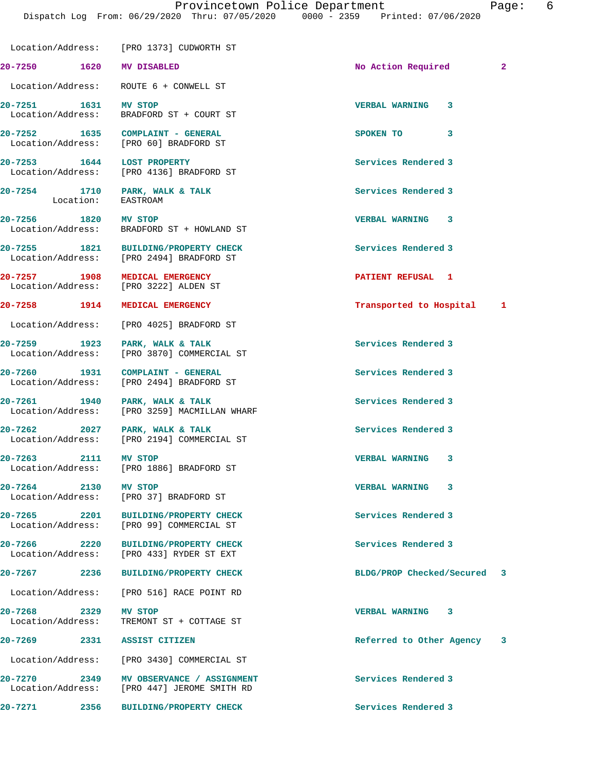|                                          | Location/Address: [PRO 1373] CUDWORTH ST                                         |                            |                |
|------------------------------------------|----------------------------------------------------------------------------------|----------------------------|----------------|
| 20-7250 1620 MV DISABLED                 |                                                                                  | No Action Required         | $\overline{2}$ |
|                                          | Location/Address: ROUTE 6 + CONWELL ST                                           |                            |                |
|                                          | 20-7251 1631 MV STOP<br>Location/Address: BRADFORD ST + COURT ST                 | VERBAL WARNING 3           |                |
|                                          | 20-7252 1635 COMPLAINT - GENERAL<br>Location/Address: [PRO 60] BRADFORD ST       | SPOKEN TO<br>3             |                |
|                                          | 20-7253 1644 LOST PROPERTY<br>Location/Address: [PRO 4136] BRADFORD ST           | Services Rendered 3        |                |
| Location: EASTROAM                       | 20-7254 1710 PARK, WALK & TALK                                                   | Services Rendered 3        |                |
| 20-7256 1820 MV STOP                     | Location/Address: BRADFORD ST + HOWLAND ST                                       | <b>VERBAL WARNING 3</b>    |                |
|                                          | 20-7255 1821 BUILDING/PROPERTY CHECK<br>Location/Address: [PRO 2494] BRADFORD ST | Services Rendered 3        |                |
|                                          | 20-7257 1908 MEDICAL EMERGENCY<br>Location/Address: [PRO 3222] ALDEN ST          | PATIENT REFUSAL 1          |                |
|                                          | 20-7258 1914 MEDICAL EMERGENCY                                                   | Transported to Hospital 1  |                |
|                                          | Location/Address: [PRO 4025] BRADFORD ST                                         |                            |                |
|                                          | 20-7259 1923 PARK, WALK & TALK<br>Location/Address: [PRO 3870] COMMERCIAL ST     | Services Rendered 3        |                |
|                                          | 20-7260 1931 COMPLAINT - GENERAL<br>Location/Address: [PRO 2494] BRADFORD ST     | Services Rendered 3        |                |
|                                          | 20-7261 1940 PARK, WALK & TALK<br>Location/Address: [PRO 3259] MACMILLAN WHARF   | Services Rendered 3        |                |
| 20-7262 2027 PARK, WALK & TALK           | Location/Address: [PRO 2194] COMMERCIAL ST                                       | Services Rendered 3        |                |
| 20-7263 2111 MV STOP                     | Location/Address: [PRO 1886] BRADFORD ST                                         | VERBAL WARNING 3           |                |
| 20-7264<br>2130                          | MV STOP<br>Location/Address: [PRO 37] BRADFORD ST                                | <b>VERBAL WARNING</b><br>3 |                |
| $20 - 7265$<br>2201<br>Location/Address: | <b>BUILDING/PROPERTY CHECK</b><br>[PRO 99] COMMERCIAL ST                         | Services Rendered 3        |                |
| 20-7266<br>2220                          | <b>BUILDING/PROPERTY CHECK</b><br>Location/Address: [PRO 433] RYDER ST EXT       | Services Rendered 3        |                |
| $20 - 7267$<br>2236                      | <b>BUILDING/PROPERTY CHECK</b>                                                   | BLDG/PROP Checked/Secured  | 3              |
|                                          | Location/Address: [PRO 516] RACE POINT RD                                        |                            |                |
| 20-7268 2329<br>Location/Address:        | MV STOP<br>TREMONT ST + COTTAGE ST                                               | <b>VERBAL WARNING</b><br>3 |                |
| 20-7269                                  | 2331 ASSIST CITIZEN                                                              | Referred to Other Agency 3 |                |
|                                          | Location/Address: [PRO 3430] COMMERCIAL ST                                       |                            |                |
| 20-7270 2349                             | MV OBSERVANCE / ASSIGNMENT<br>Location/Address: [PRO 447] JEROME SMITH RD        | Services Rendered 3        |                |
| 20-7271<br>2356                          | <b>BUILDING/PROPERTY CHECK</b>                                                   | Services Rendered 3        |                |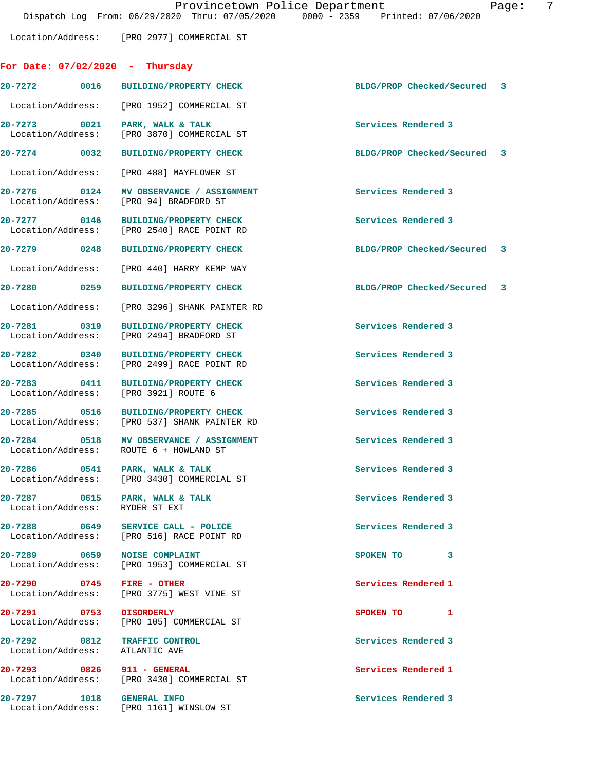Location/Address: [PRO 2977] COMMERCIAL ST **For Date: 07/02/2020 - Thursday**

**20-7272 0016 BUILDING/PROPERTY CHECK BLDG/PROP Checked/Secured 3** Location/Address: [PRO 1952] COMMERCIAL ST **20-7273 0021 PARK, WALK & TALK Services Rendered 3**  Location/Address: [PRO 3870] COMMERCIAL ST

**20-7274 0032 BUILDING/PROPERTY CHECK BLDG/PROP Checked/Secured 3**

Location/Address: [PRO 488] MAYFLOWER ST

20-7276 0124 MV OBSERVANCE / ASSIGNMENT Services Rendered 3 Location/Address: [PRO 94] BRADFORD ST

**20-7277 0146 BUILDING/PROPERTY CHECK Services Rendered 3**  [PRO 2540] RACE POINT RD

Location/Address: [PRO 440] HARRY KEMP WAY

**20-7287 0615 PARK, WALK & TALK Services Rendered 3**  Location/Address:

**20-7292 0812 TRAFFIC CONTROL Services Rendered 3**  Location/Address:

**20-7279 0248 BUILDING/PROPERTY CHECK BLDG/PROP Checked/Secured 3 20-7280 0259 BUILDING/PROPERTY CHECK BLDG/PROP Checked/Secured 3** Location/Address: [PRO 3296] SHANK PAINTER RD **20-7281 0319 BUILDING/PROPERTY CHECK Services Rendered 3**  Location/Address: [PRO 2494] BRADFORD ST **20-7282 0340 BUILDING/PROPERTY CHECK Services Rendered 3**  Location/Address: [PRO 2499] RACE POINT RD **20-7283 0411 BUILDING/PROPERTY CHECK Services Rendered 3** 

Location/Address: [PRO 3921] ROUTE 6

Location/Address: [PRO 537] SHANK PAINTER RD

**20-7284 0518 MV OBSERVANCE / ASSIGNMENT Services Rendered 3**  Location/Address: ROUTE 6 + HOWLAND ST

20-7286 **0541** PARK, WALK & TALK **Services Rendered 3** Location/Address: [PRO 3430] COMMERCIAL ST

**20-7288 0649 SERVICE CALL - POLICE Services Rendered 3**  Location/Address: [PRO 516] RACE POINT RD

**20-7289 0659 NOISE COMPLAINT SPOKEN TO 3**  Location/Address: [PRO 1953] COMMERCIAL ST

**20-7290 0745 FIRE - OTHER Services Rendered 1**  Location/Address: [PRO 3775] WEST VINE ST

**20-7291 0753 DISORDERLY SPOKEN TO 1**  Location/Address: [PRO 105] COMMERCIAL ST

**20-7293 0826 911 - GENERAL Services Rendered 1**  Location/Address: [PRO 3430] COMMERCIAL ST

**20-7297 1018 GENERAL INFO Services Rendered 3**  Location/Address: [PRO 1161] WINSLOW ST

**20-7285 0516 BUILDING/PROPERTY CHECK Services Rendered 3**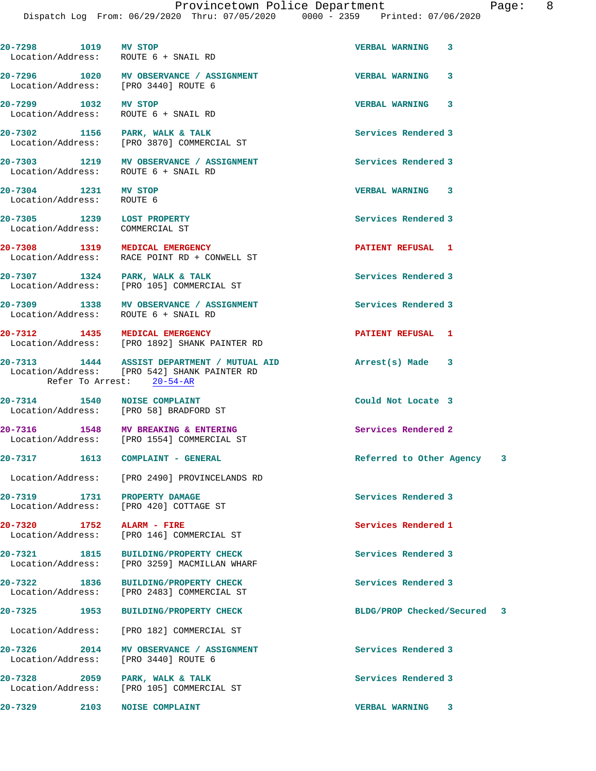| 20-7298 1019 MV STOP                                          | Location/Address: ROUTE 6 + SNAIL RD                                                                                     | <b>VERBAL WARNING</b><br>3  |
|---------------------------------------------------------------|--------------------------------------------------------------------------------------------------------------------------|-----------------------------|
|                                                               | 20-7296 1020 MV OBSERVANCE / ASSIGNMENT<br>Location/Address: [PRO 3440] ROUTE 6                                          | 3<br><b>VERBAL WARNING</b>  |
| 20-7299 1032 MV STOP                                          | Location/Address: ROUTE 6 + SNAIL RD                                                                                     | <b>VERBAL WARNING 3</b>     |
|                                                               | 20-7302 1156 PARK, WALK & TALK<br>Location/Address: [PRO 3870] COMMERCIAL ST                                             | Services Rendered 3         |
|                                                               | 20-7303 1219 MV OBSERVANCE / ASSIGNMENT<br>Location/Address: ROUTE 6 + SNAIL RD                                          | Services Rendered 3         |
| 20-7304 1231 MV STOP<br>Location/Address: ROUTE 6             |                                                                                                                          | VERBAL WARNING 3            |
| 20-7305 1239 LOST PROPERTY<br>Location/Address: COMMERCIAL ST |                                                                                                                          | Services Rendered 3         |
|                                                               | 20-7308 1319 MEDICAL EMERGENCY<br>Location/Address: RACE POINT RD + CONWELL ST                                           | PATIENT REFUSAL 1           |
|                                                               | 20-7307 1324 PARK, WALK & TALK<br>Location/Address: [PRO 105] COMMERCIAL ST                                              | Services Rendered 3         |
|                                                               | 20-7309 1338 MV OBSERVANCE / ASSIGNMENT<br>Location/Address: ROUTE 6 + SNAIL RD                                          | Services Rendered 3         |
|                                                               | 20-7312 1435 MEDICAL EMERGENCY<br>Location/Address: [PRO 1892] SHANK PAINTER RD                                          | PATIENT REFUSAL 1           |
|                                                               | 20-7313 1444 ASSIST DEPARTMENT / MUTUAL AID<br>Location/Address: [PRO 542] SHANK PAINTER RD<br>Refer To Arrest: 20-54-AR | Arrest(s) Made 3            |
|                                                               | 20-7314 1540 NOISE COMPLAINT<br>Location/Address: [PRO 58] BRADFORD ST                                                   | Could Not Locate 3          |
|                                                               | 20-7316 1548 MV BREAKING & ENTERING<br>Location/Address: [PRO 1554] COMMERCIAL ST                                        | Services Rendered 2         |
|                                                               | 20-7317 1613 COMPLAINT - GENERAL                                                                                         | Referred to Other Agency 3  |
| Location/Address:                                             | [PRO 2490] PROVINCELANDS RD                                                                                              |                             |
| 20-7319<br>1731                                               | PROPERTY DAMAGE<br>Location/Address: [PRO 420] COTTAGE ST                                                                | Services Rendered 3         |
| 20-7320 1752 ALARM - FIRE                                     | Location/Address: [PRO 146] COMMERCIAL ST                                                                                | Services Rendered 1         |
| 20-7321 1815<br>Location/Address:                             | <b>BUILDING/PROPERTY CHECK</b><br>[PRO 3259] MACMILLAN WHARF                                                             | Services Rendered 3         |
| 20-7322<br>1836                                               | <b>BUILDING/PROPERTY CHECK</b><br>Location/Address: [PRO 2483] COMMERCIAL ST                                             | Services Rendered 3         |
| 20-7325 1953                                                  | <b>BUILDING/PROPERTY CHECK</b>                                                                                           | BLDG/PROP Checked/Secured 3 |
| Location/Address:                                             | [PRO 182] COMMERCIAL ST                                                                                                  |                             |
| 2014<br>20-7326<br>Location/Address:                          | MV OBSERVANCE / ASSIGNMENT<br>[PRO 3440] ROUTE 6                                                                         | Services Rendered 3         |
| 20-7328 2059                                                  | PARK, WALK & TALK<br>Location/Address: [PRO 105] COMMERCIAL ST                                                           | Services Rendered 3         |
| 20-7329<br>2103                                               | <b>NOISE COMPLAINT</b>                                                                                                   | <b>VERBAL WARNING</b><br>3  |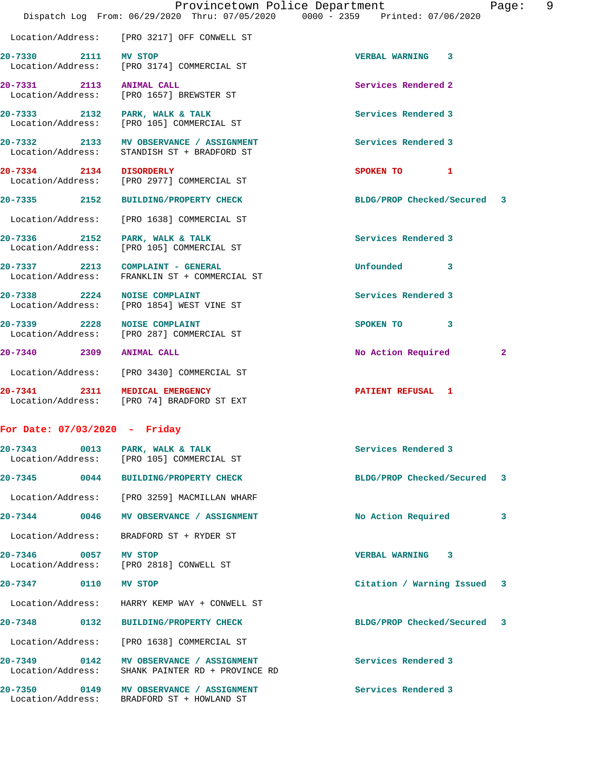|                                   | Provincetown Police Department<br>Dispatch Log From: 06/29/2020 Thru: 07/05/2020 0000 - 2359 Printed: 07/06/2020 |                             | 9<br>Page:   |
|-----------------------------------|------------------------------------------------------------------------------------------------------------------|-----------------------------|--------------|
|                                   | Location/Address: [PRO 3217] OFF CONWELL ST                                                                      |                             |              |
| 20-7330 2111 MV STOP              | Location/Address: [PRO 3174] COMMERCIAL ST                                                                       | VERBAL WARNING 3            |              |
| 20-7331 2113 ANIMAL CALL          | Location/Address: [PRO 1657] BREWSTER ST                                                                         | Services Rendered 2         |              |
|                                   | 20-7333 2132 PARK, WALK & TALK<br>Location/Address: [PRO 105] COMMERCIAL ST                                      | Services Rendered 3         |              |
|                                   | 20-7332 2133 MV OBSERVANCE / ASSIGNMENT<br>Location/Address: STANDISH ST + BRADFORD ST                           | Services Rendered 3         |              |
| 20-7334 2134 DISORDERLY           | Location/Address: [PRO 2977] COMMERCIAL ST                                                                       | SPOKEN TO 1                 |              |
| 20-7335 2152                      | <b>BUILDING/PROPERTY CHECK</b>                                                                                   | BLDG/PROP Checked/Secured 3 |              |
| Location/Address:                 | [PRO 1638] COMMERCIAL ST                                                                                         |                             |              |
| 20-7336 2152 PARK, WALK & TALK    | Location/Address: [PRO 105] COMMERCIAL ST                                                                        | Services Rendered 3         |              |
|                                   | 20-7337 2213 COMPLAINT - GENERAL<br>Location/Address: FRANKLIN ST + COMMERCIAL ST                                | Unfounded 3                 |              |
| 20-7338 2224 NOISE COMPLAINT      | Location/Address: [PRO 1854] WEST VINE ST                                                                        | Services Rendered 3         |              |
| 20-7339 2228 NOISE COMPLAINT      | Location/Address: [PRO 287] COMMERCIAL ST                                                                        | SPOKEN TO 3                 |              |
| 20-7340 2309 ANIMAL CALL          |                                                                                                                  | No Action Required          | $\mathbf{2}$ |
|                                   | Location/Address: [PRO 3430] COMMERCIAL ST                                                                       |                             |              |
| 20-7341 2311 MEDICAL EMERGENCY    | Location/Address: [PRO 74] BRADFORD ST EXT                                                                       | PATIENT REFUSAL 1           |              |
| For Date: $07/03/2020 -$ Friday   |                                                                                                                  |                             |              |
| 20-7343 0013 PARK, WALK & TALK    | Location/Address: [PRO 105] COMMERCIAL ST                                                                        | Services Rendered 3         |              |
| 20-7345 0044                      | BUILDING/PROPERTY CHECK                                                                                          | BLDG/PROP Checked/Secured   | 3            |
| Location/Address:                 | [PRO 3259] MACMILLAN WHARF                                                                                       |                             |              |
| $20 - 7344$<br>0046               | MV OBSERVANCE / ASSIGNMENT                                                                                       | No Action Required          | 3            |
| Location/Address:                 | BRADFORD ST + RYDER ST                                                                                           |                             |              |
| 20-7346 0057                      | MV STOP<br>Location/Address: [PRO 2818] CONWELL ST                                                               | VERBAL WARNING 3            |              |
| 20-7347 0110                      | MV STOP                                                                                                          | Citation / Warning Issued 3 |              |
| Location/Address:                 | HARRY KEMP WAY + CONWELL ST                                                                                      |                             |              |
| 20-7348<br>0132                   | <b>BUILDING/PROPERTY CHECK</b>                                                                                   | BLDG/PROP Checked/Secured 3 |              |
| Location/Address:                 | [PRO 1638] COMMERCIAL ST                                                                                         |                             |              |
| 20-7349 0142<br>Location/Address: | MV OBSERVANCE / ASSIGNMENT<br>SHANK PAINTER RD + PROVINCE RD                                                     | Services Rendered 3         |              |
| 20-7350<br>Location/Address:      | 0149 MV OBSERVANCE / ASSIGNMENT<br>BRADFORD ST + HOWLAND ST                                                      | Services Rendered 3         |              |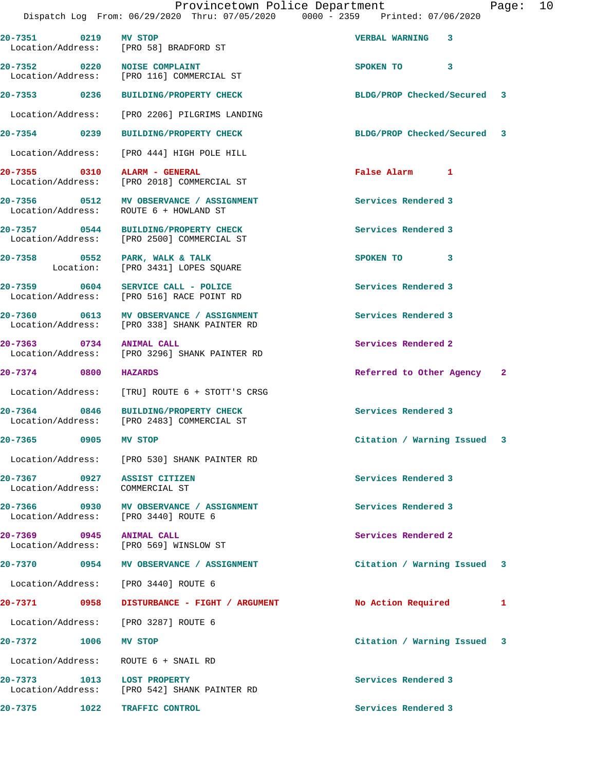|                                                                |                                                                                         | Dispatch Log From: 06/29/2020 Thru: 07/05/2020 0000 - 2359 Printed: 07/06/2020 |  |
|----------------------------------------------------------------|-----------------------------------------------------------------------------------------|--------------------------------------------------------------------------------|--|
| 20-7351 0219 MV STOP                                           | Location/Address: [PRO 58] BRADFORD ST                                                  | VERBAL WARNING 3                                                               |  |
|                                                                | 20-7352 0220 NOISE COMPLAINT<br>Location/Address: [PRO 116] COMMERCIAL ST               | SPOKEN TO 3                                                                    |  |
|                                                                | 20-7353 0236 BUILDING/PROPERTY CHECK                                                    | BLDG/PROP Checked/Secured 3                                                    |  |
|                                                                | Location/Address: [PRO 2206] PILGRIMS LANDING                                           |                                                                                |  |
|                                                                | 20-7354 0239 BUILDING/PROPERTY CHECK                                                    | BLDG/PROP Checked/Secured 3                                                    |  |
|                                                                | Location/Address: [PRO 444] HIGH POLE HILL                                              |                                                                                |  |
| 20-7355 0310 ALARM - GENERAL                                   | Location/Address: [PRO 2018] COMMERCIAL ST                                              | False Alarm 1                                                                  |  |
|                                                                | 20-7356 0512 MV OBSERVANCE / ASSIGNMENT<br>Location/Address: ROUTE 6 + HOWLAND ST       | Services Rendered 3                                                            |  |
|                                                                | 20-7357 0544 BUILDING/PROPERTY CHECK<br>Location/Address: [PRO 2500] COMMERCIAL ST      | Services Rendered 3                                                            |  |
|                                                                | 20-7358 0552 PARK, WALK & TALK<br>Location: [PRO 3431] LOPES SQUARE                     | SPOKEN TO 3                                                                    |  |
|                                                                | 20-7359 0604 SERVICE CALL - POLICE<br>Location/Address: [PRO 516] RACE POINT RD         | Services Rendered 3                                                            |  |
|                                                                | 20-7360 0613 MV OBSERVANCE / ASSIGNMENT<br>Location/Address: [PRO 338] SHANK PAINTER RD | Services Rendered 3                                                            |  |
| 20-7363 0734 ANIMAL CALL                                       | Location/Address: [PRO 3296] SHANK PAINTER RD                                           | Services Rendered 2                                                            |  |
| 20-7374 0800                                                   | <b>HAZARDS</b>                                                                          | Referred to Other Agency 2                                                     |  |
|                                                                | Location/Address: [TRU] ROUTE 6 + STOTT'S CRSG                                          |                                                                                |  |
|                                                                | 20-7364 0846 BUILDING/PROPERTY CHECK<br>Location/Address: [PRO 2483] COMMERCIAL ST      | Services Rendered 3                                                            |  |
| 20-7365 0905 MV STOP                                           |                                                                                         | Citation / Warning Issued 3                                                    |  |
|                                                                | Location/Address: [PRO 530] SHANK PAINTER RD                                            |                                                                                |  |
| 20-7367 0927 ASSIST CITIZEN<br>Location/Address: COMMERCIAL ST |                                                                                         | Services Rendered 3                                                            |  |
|                                                                | 20-7366 0930 MV OBSERVANCE / ASSIGNMENT<br>Location/Address: [PRO 3440] ROUTE 6         | Services Rendered 3                                                            |  |
| 20-7369 0945 ANIMAL CALL                                       | Location/Address: [PRO 569] WINSLOW ST                                                  | Services Rendered 2                                                            |  |
|                                                                | 20-7370 0954 MV OBSERVANCE / ASSIGNMENT                                                 | Citation / Warning Issued 3                                                    |  |
|                                                                | Location/Address: [PRO 3440] ROUTE 6                                                    |                                                                                |  |
|                                                                | 20-7371  0958 DISTURBANCE - FIGHT / ARGUMENT                                            | No Action Required<br>1                                                        |  |
|                                                                | Location/Address: [PRO 3287] ROUTE 6                                                    |                                                                                |  |
| 20-7372 1006 MV STOP                                           |                                                                                         | Citation / Warning Issued 3                                                    |  |
|                                                                | Location/Address: ROUTE 6 + SNAIL RD                                                    |                                                                                |  |
| 20-7373 1013 LOST PROPERTY                                     | Location/Address: [PRO 542] SHANK PAINTER RD                                            | Services Rendered 3                                                            |  |
| 20-7375 1022                                                   | TRAFFIC CONTROL                                                                         | Services Rendered 3                                                            |  |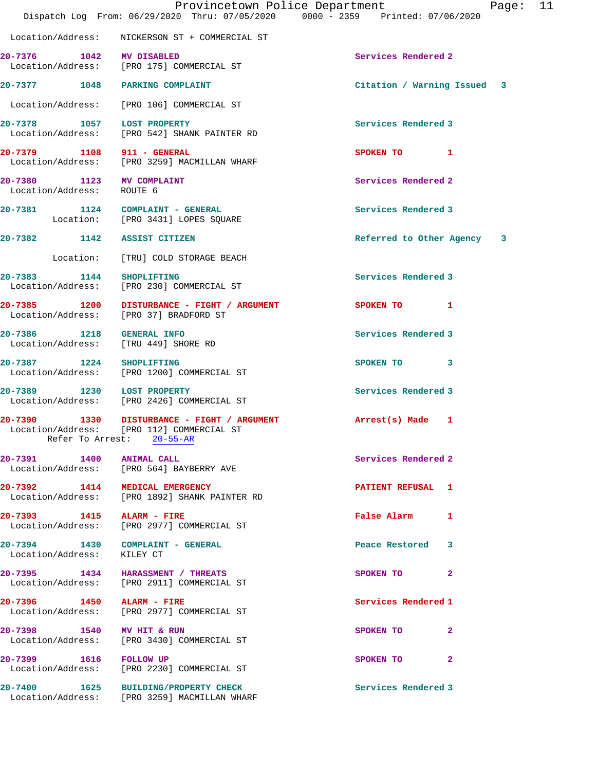|                                                                   | Provincetown Police Department<br>Dispatch Log From: 06/29/2020 Thru: 07/05/2020 0000 - 2359 Printed: 07/06/2020      |                             | Page: 11 |  |
|-------------------------------------------------------------------|-----------------------------------------------------------------------------------------------------------------------|-----------------------------|----------|--|
|                                                                   | Location/Address: NICKERSON ST + COMMERCIAL ST                                                                        |                             |          |  |
| 20-7376 1042 MV DISABLED                                          |                                                                                                                       | Services Rendered 2         |          |  |
|                                                                   | Location/Address: [PRO 175] COMMERCIAL ST                                                                             |                             |          |  |
| 20-7377 1048 PARKING COMPLAINT                                    |                                                                                                                       | Citation / Warning Issued 3 |          |  |
|                                                                   | Location/Address: [PRO 106] COMMERCIAL ST                                                                             |                             |          |  |
|                                                                   | 20-7378 1057 LOST PROPERTY<br>Location/Address: [PRO 542] SHANK PAINTER RD                                            | Services Rendered 3         |          |  |
|                                                                   | 20-7379 1108 911 - GENERAL<br>Location/Address: [PRO 3259] MACMILLAN WHARF                                            | SPOKEN TO 1                 |          |  |
| 20-7380 1123 MV COMPLAINT<br>Location/Address: ROUTE 6            |                                                                                                                       | Services Rendered 2         |          |  |
|                                                                   | 20-7381 1124 COMPLAINT - GENERAL<br>Location: [PRO 3431] LOPES SQUARE                                                 | Services Rendered 3         |          |  |
| 20-7382 1142 ASSIST CITIZEN                                       |                                                                                                                       | Referred to Other Agency 3  |          |  |
|                                                                   | Location: [TRU] COLD STORAGE BEACH                                                                                    |                             |          |  |
| 20-7383 1144 SHOPLIFTING                                          | Location/Address: [PRO 230] COMMERCIAL ST                                                                             | Services Rendered 3         |          |  |
| Location/Address: [PRO 37] BRADFORD ST                            | 20-7385 1200 DISTURBANCE - FIGHT / ARGUMENT                                                                           | SPOKEN TO 1                 |          |  |
| 20-7386 1218 GENERAL INFO<br>Location/Address: [TRU 449] SHORE RD |                                                                                                                       | Services Rendered 3         |          |  |
|                                                                   | 20-7387 1224 SHOPLIFTING<br>Location/Address: [PRO 1200] COMMERCIAL ST                                                | SPOKEN TO 3                 |          |  |
|                                                                   | 20-7389 1230 LOST PROPERTY<br>  Location/Address: [PRO 2426] COMMERCIAL ST                                            | Services Rendered 3         |          |  |
|                                                                   | 20-7390 1330 DISTURBANCE - FIGHT / ARGUMENT<br>Location/Address: [PRO 112] COMMERCIAL ST<br>Refer To Arrest: 20-55-AR | Arrest(s) Made 1            |          |  |
| 20-7391 1400 ANIMAL CALL                                          | Location/Address: [PRO 564] BAYBERRY AVE                                                                              | Services Rendered 2         |          |  |
| 20-7392 1414 MEDICAL EMERGENCY                                    | Location/Address: [PRO 1892] SHANK PAINTER RD                                                                         | PATIENT REFUSAL 1           |          |  |
| 20-7393 1415 ALARM - FIRE                                         | Location/Address: [PRO 2977] COMMERCIAL ST                                                                            | False Alarm 1               |          |  |
| Location/Address: KILEY CT                                        | 20-7394 1430 COMPLAINT - GENERAL                                                                                      | Peace Restored 3            |          |  |
|                                                                   | 20-7395 1434 HARASSMENT / THREATS<br>Location/Address: [PRO 2911] COMMERCIAL ST                                       | SPOKEN TO 2                 |          |  |
| 20-7396 1450 ALARM - FIRE                                         | Location/Address: [PRO 2977] COMMERCIAL ST                                                                            | Services Rendered 1         |          |  |
| 20-7398 1540 MV HIT & RUN                                         | Location/Address: [PRO 3430] COMMERCIAL ST                                                                            | SPOKEN TO<br>$\mathbf{2}$   |          |  |
|                                                                   | 20-7399 1616 FOLLOW UP<br>Location/Address: [PRO 2230] COMMERCIAL ST                                                  | SPOKEN TO 2                 |          |  |
|                                                                   | 20-7400 1625 BUILDING/PROPERTY CHECK<br>Location/Address: [PRO 3259] MACMILLAN WHARF                                  | Services Rendered 3         |          |  |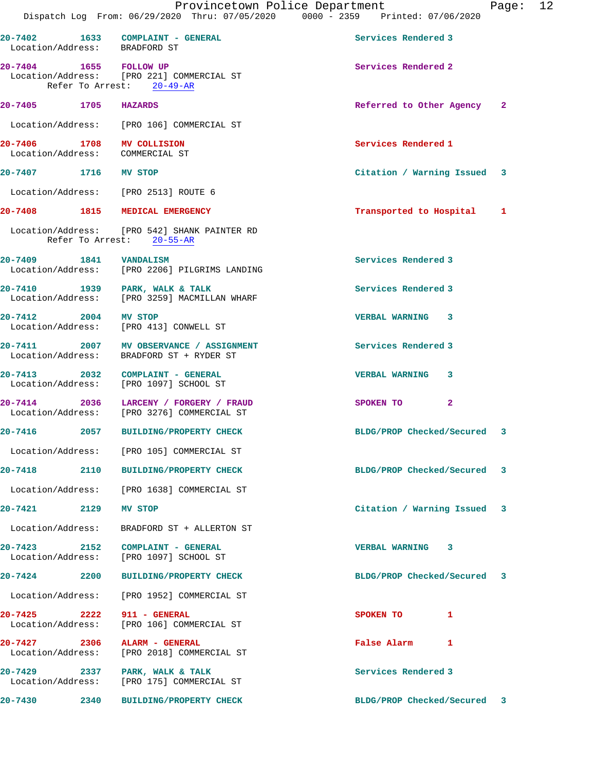|                                                              |      | Provincetown Police Department<br>Dispatch Log From: 06/29/2020 Thru: 07/05/2020 0000 - 2359 Printed: 07/06/2020 |                             | Page: 12 |  |
|--------------------------------------------------------------|------|------------------------------------------------------------------------------------------------------------------|-----------------------------|----------|--|
| Location/Address: BRADFORD ST                                |      | 20-7402 1633 COMPLAINT - GENERAL                                                                                 | Services Rendered 3         |          |  |
| 20-7404 1655 FOLLOW UP                                       |      | Location/Address: [PRO 221] COMMERCIAL ST<br>Refer To Arrest: 20-49-AR                                           | Services Rendered 2         |          |  |
| 20-7405 1705 HAZARDS                                         |      |                                                                                                                  | Referred to Other Agency 2  |          |  |
|                                                              |      | Location/Address: [PRO 106] COMMERCIAL ST                                                                        |                             |          |  |
| 20-7406 1708 MV COLLISION<br>Location/Address: COMMERCIAL ST |      |                                                                                                                  | Services Rendered 1         |          |  |
| 20-7407 1716 MV STOP                                         |      |                                                                                                                  | Citation / Warning Issued 3 |          |  |
|                                                              |      | Location/Address: [PRO 2513] ROUTE 6                                                                             |                             |          |  |
|                                                              |      | 20-7408 1815 MEDICAL EMERGENCY                                                                                   | Transported to Hospital 1   |          |  |
|                                                              |      | Location/Address: [PRO 542] SHANK PAINTER RD<br>Refer To Arrest: 20-55-AR                                        |                             |          |  |
| 20-7409 1841 VANDALISM                                       |      | Location/Address: [PRO 2206] PILGRIMS LANDING                                                                    | Services Rendered 3         |          |  |
|                                                              |      | 20-7410 1939 PARK, WALK & TALK<br>Location/Address: [PRO 3259] MACMILLAN WHARF                                   | Services Rendered 3         |          |  |
| 20-7412 2004 MV STOP                                         |      | Location/Address: [PRO 413] CONWELL ST                                                                           | VERBAL WARNING 3            |          |  |
|                                                              |      | 20-7411 2007 MV OBSERVANCE / ASSIGNMENT<br>Location/Address: BRADFORD ST + RYDER ST                              | Services Rendered 3         |          |  |
|                                                              |      | 20-7413 2032 COMPLAINT - GENERAL<br>Location/Address: [PRO 1097] SCHOOL ST                                       | <b>VERBAL WARNING 3</b>     |          |  |
|                                                              |      | 20-7414 2036 LARCENY / FORGERY / FRAUD<br>Location/Address: [PRO 3276] COMMERCIAL ST                             | SPOKEN TO 2                 |          |  |
| $20 - 7416$<br>2057                                          |      | <b>BUILDING/PROPERTY CHECK</b>                                                                                   | BLDG/PROP Checked/Secured 3 |          |  |
|                                                              |      | Location/Address: [PRO 105] COMMERCIAL ST                                                                        |                             |          |  |
|                                                              |      | 20-7418 2110 BUILDING/PROPERTY CHECK                                                                             | BLDG/PROP Checked/Secured 3 |          |  |
|                                                              |      | Location/Address: [PRO 1638] COMMERCIAL ST                                                                       |                             |          |  |
| $20 - 7421$                                                  | 2129 | MV STOP                                                                                                          | Citation / Warning Issued 3 |          |  |
| Location/Address:                                            |      | BRADFORD ST + ALLERTON ST                                                                                        |                             |          |  |
| 20-7423 2152<br>Location/Address:                            |      | COMPLAINT - GENERAL<br>[PRO 1097] SCHOOL ST                                                                      | VERBAL WARNING 3            |          |  |
| 20-7424                                                      |      | 2200 BUILDING/PROPERTY CHECK                                                                                     | BLDG/PROP Checked/Secured 3 |          |  |
| Location/Address:                                            |      | [PRO 1952] COMMERCIAL ST                                                                                         |                             |          |  |
| 20-7425 2222<br>Location/Address:                            |      | 911 - GENERAL<br>[PRO 106] COMMERCIAL ST                                                                         | SPOKEN TO<br>1              |          |  |
| 20-7427 2306<br>Location/Address:                            |      | ALARM - GENERAL<br>[PRO 2018] COMMERCIAL ST                                                                      | False Alarm 1               |          |  |
| Location/Address:                                            |      | 20-7429 2337 PARK, WALK & TALK<br>[PRO 175] COMMERCIAL ST                                                        | Services Rendered 3         |          |  |
| 20-7430                                                      | 2340 | <b>BUILDING/PROPERTY CHECK</b>                                                                                   | BLDG/PROP Checked/Secured 3 |          |  |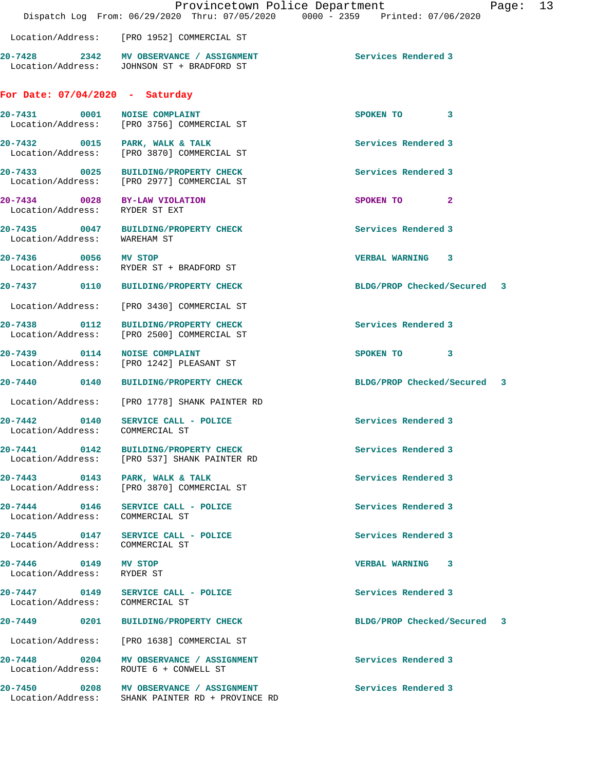|                                                    | Dispatch Log From: 06/29/2020 Thru: 07/05/2020 0000 - 2359 Printed: 07/06/2020              | Provincetown Police Department<br>Page: | 13 |
|----------------------------------------------------|---------------------------------------------------------------------------------------------|-----------------------------------------|----|
|                                                    | Location/Address: [PRO 1952] COMMERCIAL ST                                                  |                                         |    |
|                                                    | 20-7428 2342 MV OBSERVANCE / ASSIGNMENT<br>Location/Address: JOHNSON ST + BRADFORD ST       | Services Rendered 3                     |    |
| For Date: $07/04/2020$ - Saturday                  |                                                                                             |                                         |    |
| 20-7431 0001 NOISE COMPLAINT                       | Location/Address: [PRO 3756] COMMERCIAL ST                                                  | SPOKEN TO 3                             |    |
|                                                    | 20-7432 0015 PARK, WALK & TALK<br>Location/Address: [PRO 3870] COMMERCIAL ST                | Services Rendered 3                     |    |
|                                                    | 20-7433 0025 BUILDING/PROPERTY CHECK<br>Location/Address: [PRO 2977] COMMERCIAL ST          | Services Rendered 3                     |    |
| Location/Address: RYDER ST EXT                     | 20-7434 0028 BY-LAW VIOLATION                                                               | SPOKEN TO<br>$\mathbf{2}$               |    |
| Location/Address: WAREHAM ST                       | 20-7435 0047 BUILDING/PROPERTY CHECK                                                        | Services Rendered 3                     |    |
|                                                    | 20-7436 0056 MV STOP<br>Location/Address: RYDER ST + BRADFORD ST                            | VERBAL WARNING 3                        |    |
|                                                    | 20-7437 0110 BUILDING/PROPERTY CHECK                                                        | BLDG/PROP Checked/Secured 3             |    |
| Location/Address:                                  | [PRO 3430] COMMERCIAL ST                                                                    |                                         |    |
|                                                    | 20-7438 0112 BUILDING/PROPERTY CHECK<br>Location/Address: [PRO 2500] COMMERCIAL ST          | Services Rendered 3                     |    |
| 20-7439 0114 NOISE COMPLAINT                       | Location/Address: [PRO 1242] PLEASANT ST                                                    | SPOKEN TO<br>3                          |    |
|                                                    | 20-7440 0140 BUILDING/PROPERTY CHECK                                                        | BLDG/PROP Checked/Secured 3             |    |
|                                                    | Location/Address: [PRO 1778] SHANK PAINTER RD                                               |                                         |    |
| Location/Address: COMMERCIAL ST                    | 20-7442 0140 SERVICE CALL - POLICE                                                          | Services Rendered 3                     |    |
|                                                    | 20-7441 0142 BUILDING/PROPERTY CHECK<br>Location/Address: [PRO 537] SHANK PAINTER RD        | Services Rendered 3                     |    |
| Location/Address:                                  | 20-7443 0143 PARK, WALK & TALK<br>[PRO 3870] COMMERCIAL ST                                  | Services Rendered 3                     |    |
| Location/Address: COMMERCIAL ST                    | 20-7444 0146 SERVICE CALL - POLICE                                                          | Services Rendered 3                     |    |
| Location/Address:                                  | 20-7445 0147 SERVICE CALL - POLICE<br>COMMERCIAL ST                                         | Services Rendered 3                     |    |
| 20-7446 0149 MV STOP<br>Location/Address: RYDER ST |                                                                                             | <b>VERBAL WARNING 3</b>                 |    |
| Location/Address: COMMERCIAL ST                    | 20-7447 0149 SERVICE CALL - POLICE                                                          | Services Rendered 3                     |    |
|                                                    | 20-7449 0201 BUILDING/PROPERTY CHECK                                                        | BLDG/PROP Checked/Secured 3             |    |
|                                                    | Location/Address: [PRO 1638] COMMERCIAL ST                                                  |                                         |    |
|                                                    | 20-7448 0204 MV OBSERVANCE / ASSIGNMENT<br>Location/Address: ROUTE 6 + CONWELL ST           | Services Rendered 3                     |    |
|                                                    | 20-7450 0208 MV OBSERVANCE / ASSIGNMENT<br>Location/Address: SHANK PAINTER RD + PROVINCE RD | Services Rendered 3                     |    |
|                                                    |                                                                                             |                                         |    |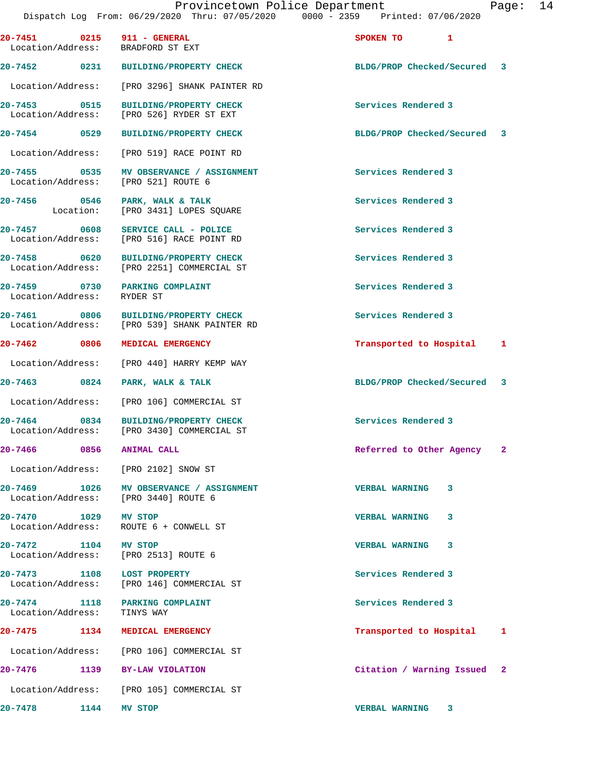|                            | 20-7451 0215 911 - GENERAL<br>Location/Address: BRADFORD ST EXT                      | SPOKEN TO 1                 |  |
|----------------------------|--------------------------------------------------------------------------------------|-----------------------------|--|
|                            | 20-7452 0231 BUILDING/PROPERTY CHECK                                                 | BLDG/PROP Checked/Secured 3 |  |
|                            | Location/Address: [PRO 3296] SHANK PAINTER RD                                        |                             |  |
|                            | 20-7453 0515 BUILDING/PROPERTY CHECK<br>Location/Address: [PRO 526] RYDER ST EXT     | Services Rendered 3         |  |
|                            | 20-7454 0529 BUILDING/PROPERTY CHECK                                                 | BLDG/PROP Checked/Secured 3 |  |
|                            | Location/Address: [PRO 519] RACE POINT RD                                            |                             |  |
|                            | 20-7455 0535 MV OBSERVANCE / ASSIGNMENT<br>Location/Address: [PRO 521] ROUTE 6       | Services Rendered 3         |  |
|                            | 20-7456 0546 PARK, WALK & TALK<br>Location: [PRO 3431] LOPES SQUARE                  | Services Rendered 3         |  |
| 20-7457 0608               | SERVICE CALL - POLICE<br>Location/Address: [PRO 516] RACE POINT RD                   | Services Rendered 3         |  |
| 20-7458 0620               | <b>BUILDING/PROPERTY CHECK</b><br>Location/Address: [PRO 2251] COMMERCIAL ST         | Services Rendered 3         |  |
| Location/Address: RYDER ST | 20-7459 0730 PARKING COMPLAINT                                                       | Services Rendered 3         |  |
|                            | 20-7461 0806 BUILDING/PROPERTY CHECK<br>Location/Address: [PRO 539] SHANK PAINTER RD | Services Rendered 3         |  |
| 20-7462 0806               | MEDICAL EMERGENCY                                                                    | Transported to Hospital 1   |  |
|                            | Location/Address: [PRO 440] HARRY KEMP WAY                                           |                             |  |
| 20-7463 0824               | PARK, WALK & TALK                                                                    | BLDG/PROP Checked/Secured 3 |  |
|                            | Location/Address: [PRO 106] COMMERCIAL ST                                            |                             |  |
| 20-7464 0834               | <b>BUILDING/PROPERTY CHECK</b><br>Location/Address: [PRO 3430] COMMERCIAL ST         | Services Rendered 3         |  |
|                            | 20-7466 0856 ANIMAL CALL                                                             | Referred to Other Agency 2  |  |
|                            | Location/Address: [PRO 2102] SNOW ST                                                 |                             |  |
|                            | 20-7469 1026 MV OBSERVANCE / ASSIGNMENT<br>Location/Address: [PRO 3440] ROUTE 6      | <b>VERBAL WARNING</b><br>3  |  |
| 20-7470 1029 MV STOP       | Location/Address: ROUTE 6 + CONWELL ST                                               | <b>VERBAL WARNING</b><br>3  |  |
| 20-7472 1104 MV STOP       | Location/Address: [PRO 2513] ROUTE 6                                                 | <b>VERBAL WARNING</b><br>3  |  |
| 20-7473 1108               | <b>LOST PROPERTY</b><br>Location/Address: [PRO 146] COMMERCIAL ST                    | Services Rendered 3         |  |
| Location/Address:          | 20-7474 1118 PARKING COMPLAINT<br>TINYS WAY                                          | Services Rendered 3         |  |
|                            | 20-7475 1134 MEDICAL EMERGENCY                                                       | Transported to Hospital 1   |  |
|                            | Location/Address: [PRO 106] COMMERCIAL ST                                            |                             |  |
|                            | 20-7476 1139 BY-LAW VIOLATION                                                        | Citation / Warning Issued 2 |  |
|                            | Location/Address: [PRO 105] COMMERCIAL ST                                            |                             |  |
| 20-7478 1144               | MV STOP                                                                              | VERBAL WARNING 3            |  |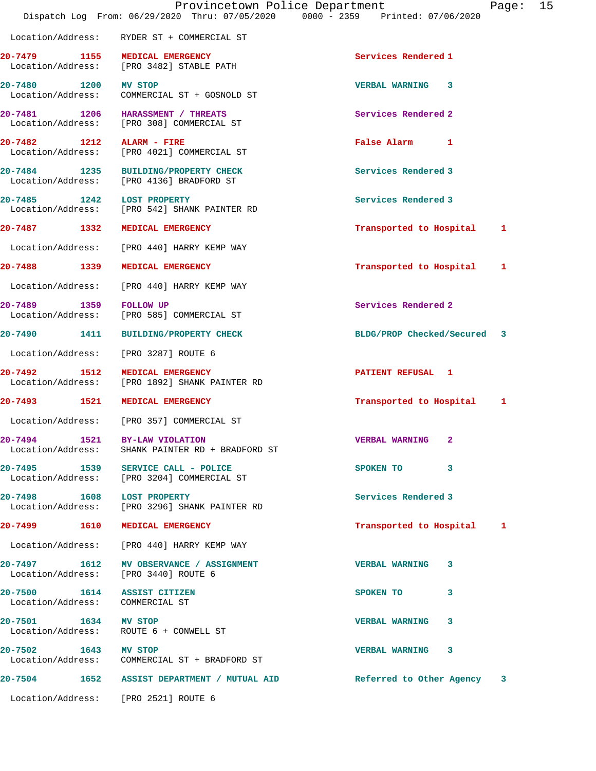|                                                                | Dispatch Log From: 06/29/2020 Thru: 07/05/2020 0000 - 2359 Printed: 07/06/2020   | Provincetown Police Department | Page: | 15 |
|----------------------------------------------------------------|----------------------------------------------------------------------------------|--------------------------------|-------|----|
|                                                                |                                                                                  |                                |       |    |
|                                                                | Location/Address: RYDER ST + COMMERCIAL ST                                       |                                |       |    |
|                                                                | 20-7479 1155 MEDICAL EMERGENCY<br>Location/Address: [PRO 3482] STABLE PATH       | Services Rendered 1            |       |    |
| 20-7480 1200 MV STOP                                           | Location/Address: COMMERCIAL ST + GOSNOLD ST                                     | VERBAL WARNING 3               |       |    |
|                                                                | 20-7481 1206 HARASSMENT / THREATS<br>Location/Address: [PRO 308] COMMERCIAL ST   | Services Rendered 2            |       |    |
| 20-7482 1212 ALARM - FIRE                                      | Location/Address: [PRO 4021] COMMERCIAL ST                                       | False Alarm 1                  |       |    |
|                                                                | 20-7484 1235 BUILDING/PROPERTY CHECK<br>Location/Address: [PRO 4136] BRADFORD ST | Services Rendered 3            |       |    |
| 20-7485 1242 LOST PROPERTY                                     | Location/Address: [PRO 542] SHANK PAINTER RD                                     | Services Rendered 3            |       |    |
|                                                                | 20-7487 1332 MEDICAL EMERGENCY                                                   | Transported to Hospital        | 1     |    |
|                                                                | Location/Address: [PRO 440] HARRY KEMP WAY                                       |                                |       |    |
|                                                                | 20-7488 1339 MEDICAL EMERGENCY                                                   | Transported to Hospital        | 1     |    |
|                                                                | Location/Address: [PRO 440] HARRY KEMP WAY                                       |                                |       |    |
| 20-7489 1359 FOLLOW UP                                         | Location/Address: [PRO 585] COMMERCIAL ST                                        | Services Rendered 2            |       |    |
|                                                                | 20-7490 1411 BUILDING/PROPERTY CHECK                                             | BLDG/PROP Checked/Secured 3    |       |    |
| Location/Address:                                              | [PRO 3287] ROUTE 6                                                               |                                |       |    |
| 1512<br>20-7492                                                | MEDICAL EMERGENCY<br>Location/Address: [PRO 1892] SHANK PAINTER RD               | PATIENT REFUSAL 1              |       |    |
|                                                                | 20-7493 1521 MEDICAL EMERGENCY                                                   | Transported to Hospital        | 1     |    |
|                                                                | Location/Address: [PRO 357] COMMERCIAL ST                                        |                                |       |    |
| 20-7494 1521 BY-LAW VIOLATION<br>Location/Address:             | SHANK PAINTER RD + BRADFORD ST                                                   | <b>VERBAL WARNING 2</b>        |       |    |
|                                                                | 20-7495 1539 SERVICE CALL - POLICE<br>Location/Address: [PRO 3204] COMMERCIAL ST | SPOKEN TO 3                    |       |    |
|                                                                | 20-7498 1608 LOST PROPERTY<br>Location/Address: [PRO 3296] SHANK PAINTER RD      | Services Rendered 3            |       |    |
|                                                                | 20-7499 1610 MEDICAL EMERGENCY                                                   | Transported to Hospital 1      |       |    |
|                                                                | Location/Address: [PRO 440] HARRY KEMP WAY                                       |                                |       |    |
|                                                                | 20-7497 1612 MV OBSERVANCE / ASSIGNMENT<br>Location/Address: [PRO 3440] ROUTE 6  | <b>VERBAL WARNING 3</b>        |       |    |
| 20-7500 1614 ASSIST CITIZEN<br>Location/Address: COMMERCIAL ST |                                                                                  | SPOKEN TO<br>3                 |       |    |
| 20-7501 1634 MV STOP                                           | Location/Address: ROUTE 6 + CONWELL ST                                           | VERBAL WARNING 3               |       |    |
| 20-7502 1643 MV STOP                                           | Location/Address: COMMERCIAL ST + BRADFORD ST                                    | VERBAL WARNING 3               |       |    |
|                                                                | 20-7504 1652 ASSIST DEPARTMENT / MUTUAL AID                                      | Referred to Other Agency 3     |       |    |
|                                                                |                                                                                  |                                |       |    |

Location/Address: [PRO 2521] ROUTE 6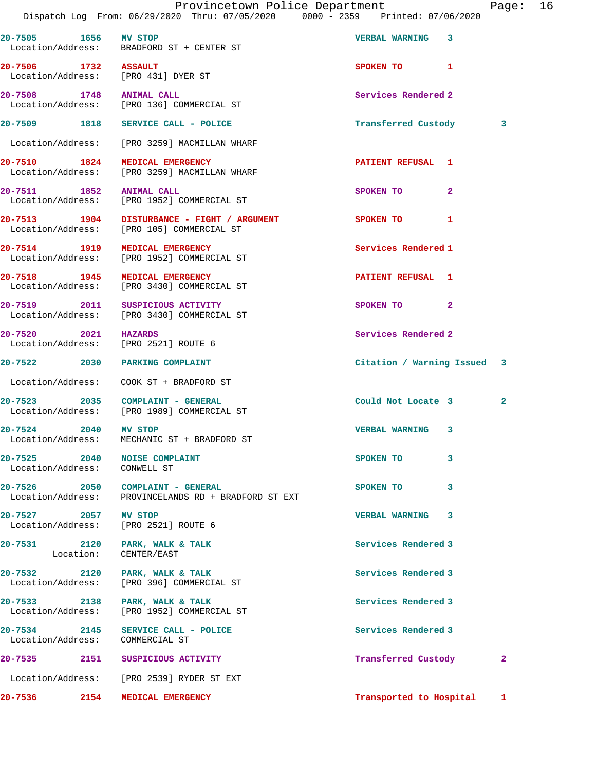Dispatch Log From: 06/29/2020 Thru: 07/05/2020 0000 - 2359 Printed: 07/06/2020 **20-7505 1656 MV STOP VERBAL WARNING 3**  Location/Address: BRADFORD ST + CENTER ST **20-7506** 1732 ASSAULT SPOKEN TO 1 Location/Address: [PRO 431] DYER ST **20-7508 1748 ANIMAL CALL Services Rendered 2**  Location/Address: [PRO 136] COMMERCIAL ST **20-7509 1818 SERVICE CALL - POLICE Transferred Custody 3** Location/Address: [PRO 3259] MACMILLAN WHARF **20-7510 1824 MEDICAL EMERGENCY PATIENT REFUSAL 1**  Location/Address: [PRO 3259] MACMILLAN WHARF **20-7511 1852 ANIMAL CALL SPOKEN TO 2**  Location/Address: [PRO 1952] COMMERCIAL ST **20-7513 1904 DISTURBANCE - FIGHT / ARGUMENT SPOKEN TO 1**  Location/Address: [PRO 105] COMMERCIAL ST **20-7514 1919 MEDICAL EMERGENCY Services Rendered 1**  Location/Address: [PRO 1952] COMMERCIAL ST **20-7518 1945 MEDICAL EMERGENCY PATIENT REFUSAL 1**  Location/Address: [PRO 3430] COMMERCIAL ST **20-7519 2011 SUSPICIOUS ACTIVITY SPOKEN TO 2**  Location/Address: [PRO 3430] COMMERCIAL ST **20-7520 2021 HAZARDS Services Rendered 2**  Location/Address: [PRO 2521] ROUTE 6 **20-7522 2030 PARKING COMPLAINT Citation / Warning Issued 3** Location/Address: COOK ST + BRADFORD ST **20-7523 2035 COMPLAINT - GENERAL Could Not Locate 3 2**  Location/Address: [PRO 1989] COMMERCIAL ST **20-7524 2040 MV STOP VERBAL WARNING 3**  Location/Address: MECHANIC ST + BRADFORD ST **20-7525 2040 NOISE COMPLAINT SPOKEN TO 3**  Location/Address: CONWELL ST **20-7526 2050 COMPLAINT - GENERAL SPOKEN TO 3**  Location/Address: PROVINCELANDS RD + BRADFORD ST EXT **20-7527 2057 MV STOP VERBAL WARNING 3**  Location/Address: [PRO 2521] ROUTE 6 20-7531 2120 PARK, WALK & TALK 20 PARK, 200 PARK 200 PARK 2012 CONTEXT AND RETAIL Location: CENTER/EAST **20-7532 2120 PARK, WALK & TALK Services Rendered 3**  Location/Address: [PRO 396] COMMERCIAL ST 20-7533 2138 PARK, WALK & TALK **PARK** Services Rendered 3 Location/Address: [PRO 1952] COMMERCIAL ST **20-7534 2145 SERVICE CALL - POLICE Services Rendered 3**  Location/Address: COMMERCIAL ST **20-7535 2151 SUSPICIOUS ACTIVITY Transferred Custody 2** Location/Address: [PRO 2539] RYDER ST EXT

**20-7536 2154 MEDICAL EMERGENCY Transported to Hospital 1**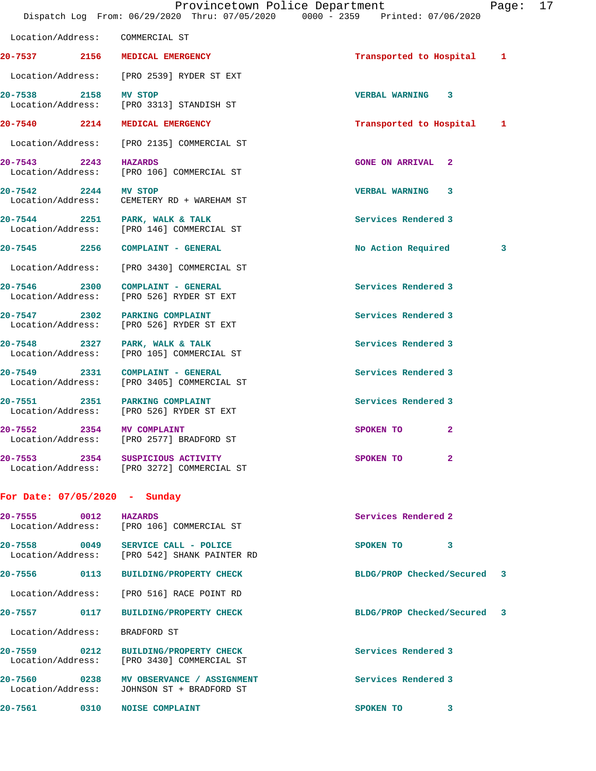|                      | Provincetown Police Department                                                 |                           | Page: 17 |  |
|----------------------|--------------------------------------------------------------------------------|---------------------------|----------|--|
|                      | Dispatch Log From: 06/29/2020 Thru: 07/05/2020 0000 - 2359 Printed: 07/06/2020 |                           |          |  |
|                      | Location/Address: COMMERCIAL ST                                                |                           |          |  |
|                      | 20-7537 2156 MEDICAL EMERGENCY                                                 | Transported to Hospital 1 |          |  |
|                      | Location/Address: [PRO 2539] RYDER ST EXT                                      |                           |          |  |
| 20-7538 2158 MV STOP | Location/Address: [PRO 3313] STANDISH ST                                       | VERBAL WARNING 3          |          |  |
|                      | 20-7540 2214 MEDICAL EMERGENCY                                                 | Transported to Hospital 1 |          |  |
| Location/Address:    | [PRO 2135] COMMERCIAL ST                                                       |                           |          |  |
| 20-7543 2243 HAZARDS | Location/Address: [PRO 106] COMMERCIAL ST                                      | <b>GONE ON ARRIVAL 2</b>  |          |  |
| 20-7542 2244 MV STOP | Location/Address: CEMETERY RD + WAREHAM ST                                     | VERBAL WARNING 3          |          |  |
|                      | 20-7544 2251 PARK, WALK & TALK<br>Location/Address: [PRO 146] COMMERCIAL ST    | Services Rendered 3       |          |  |
|                      | 20-7545 2256 COMPLAINT - GENERAL                                               | No Action Required        | 3        |  |
|                      | Location/Address: [PRO 3430] COMMERCIAL ST                                     |                           |          |  |
|                      | 20-7546 2300 COMPLAINT - GENERAL<br>Location/Address: [PRO 526] RYDER ST EXT   | Services Rendered 3       |          |  |
|                      | 20-7547 2302 PARKING COMPLAINT<br>Location/Address: [PRO 526] RYDER ST EXT     | Services Rendered 3       |          |  |
|                      | 20-7548 2327 PARK, WALK & TALK<br>Location/Address: [PRO 105] COMMERCIAL ST    | Services Rendered 3       |          |  |
|                      | 20-7549 2331 COMPLAINT - GENERAL<br>Location/Address: [PRO 3405] COMMERCIAL ST | Services Rendered 3       |          |  |
| 20-7551              | 2351 PARKING COMPLAINT<br>Location/Address: [PRO 526] RYDER ST EXT             | Services Rendered 3       |          |  |
| 2354<br>20-7552      | MV COMPLAINT                                                                   | SPOKEN TO<br>$\mathbf{2}$ |          |  |

**20-7553 2354 SUSPICIOUS ACTIVITY SPOKEN TO 2**  Location/Address: [PRO 3272] COMMERCIAL ST

## **For Date: 07/05/2020 - Sunday**

Location/Address: [PRO 2577] BRADFORD ST

| 20-7555<br>0012<br>Location/Address: | <b>HAZARDS</b><br>[PRO 106] COMMERCIAL ST                                    | Services Rendered 2 |                             |
|--------------------------------------|------------------------------------------------------------------------------|---------------------|-----------------------------|
| 20-7558                              | 0049 SERVICE CALL - POLICE<br>Location/Address: [PRO 542] SHANK PAINTER RD   | SPOKEN TO           | 3                           |
| 20-7556<br>0113                      | <b>BUILDING/PROPERTY CHECK</b>                                               |                     | BLDG/PROP Checked/Secured 3 |
|                                      | Location/Address: [PRO 516] RACE POINT RD                                    |                     |                             |
| 20-7557<br>0117                      | <b>BUILDING/PROPERTY CHECK</b>                                               |                     | BLDG/PROP Checked/Secured 3 |
| Location/Address:                    | BRADFORD ST                                                                  |                     |                             |
| $20 - 7559$<br>$\sim$ 0212           | <b>BUILDING/PROPERTY CHECK</b><br>Location/Address: [PRO 3430] COMMERCIAL ST | Services Rendered 3 |                             |
| 20-7560<br>0238<br>Location/Address: | MV OBSERVANCE / ASSIGNMENT<br>JOHNSON ST + BRADFORD ST                       | Services Rendered 3 |                             |
| $20 - 7561$<br>0310                  | <b>NOISE COMPLAINT</b>                                                       | SPOKEN TO           | 3                           |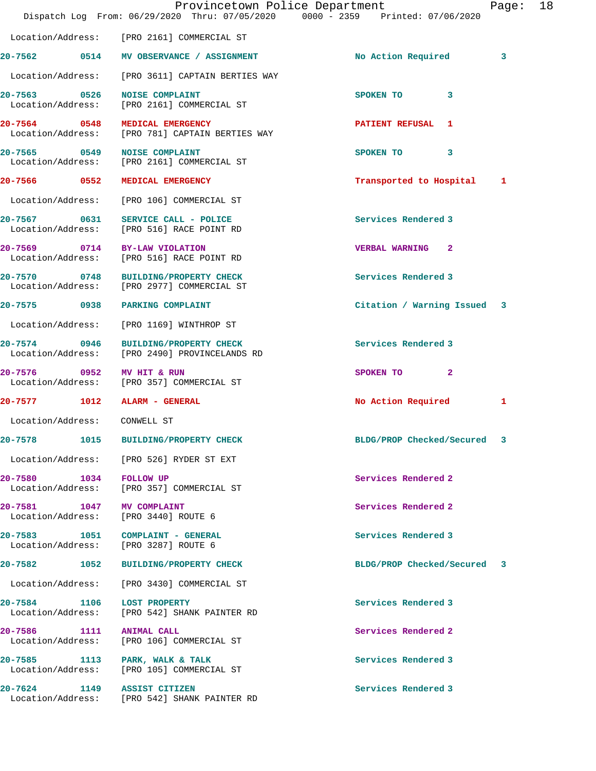|                                               |                                                                                   | Provincetown Police Department<br>Dispatch Log From: 06/29/2020 Thru: 07/05/2020 0000 - 2359 Printed: 07/06/2020 | 18<br>Page:  |
|-----------------------------------------------|-----------------------------------------------------------------------------------|------------------------------------------------------------------------------------------------------------------|--------------|
|                                               | Location/Address: [PRO 2161] COMMERCIAL ST                                        |                                                                                                                  |              |
|                                               | 20-7562 0514 MV OBSERVANCE / ASSIGNMENT                                           | No Action Required                                                                                               | 3            |
|                                               | Location/Address: [PRO 3611] CAPTAIN BERTIES WAY                                  |                                                                                                                  |              |
|                                               | 20-7563 0526 NOISE COMPLAINT<br>Location/Address: [PRO 2161] COMMERCIAL ST        | SPOKEN TO                                                                                                        | 3            |
|                                               | 20-7564 0548 MEDICAL EMERGENCY<br>Location/Address: [PRO 781] CAPTAIN BERTIES WAY | <b>PATIENT REFUSAL 1</b>                                                                                         |              |
|                                               | 20-7565 0549 NOISE COMPLAINT<br>Location/Address: [PRO 2161] COMMERCIAL ST        | SPOKEN TO                                                                                                        | 3            |
| 20-7566 0552                                  | <b>MEDICAL EMERGENCY</b>                                                          | Transported to Hospital                                                                                          | $\mathbf{1}$ |
|                                               | Location/Address: [PRO 106] COMMERCIAL ST                                         |                                                                                                                  |              |
|                                               | 20-7567 0631 SERVICE CALL - POLICE<br>Location/Address: [PRO 516] RACE POINT RD   | Services Rendered 3                                                                                              |              |
|                                               | 20-7569 0714 BY-LAW VIOLATION<br>Location/Address: [PRO 516] RACE POINT RD        | <b>VERBAL WARNING 2</b>                                                                                          |              |
| $20 - 7570$                                   | 0748 BUILDING/PROPERTY CHECK<br>Location/Address: [PRO 2977] COMMERCIAL ST        | Services Rendered 3                                                                                              |              |
|                                               | 20-7575 0938 PARKING COMPLAINT                                                    | Citation / Warning Issued 3                                                                                      |              |
|                                               | Location/Address: [PRO 1169] WINTHROP ST                                          |                                                                                                                  |              |
| 20-7574 0946<br>Location/Address:             | <b>BUILDING/PROPERTY CHECK</b><br>[PRO 2490] PROVINCELANDS RD                     | Services Rendered 3                                                                                              |              |
| 20-7576 0952 MV HIT & RUN                     | Location/Address: [PRO 357] COMMERCIAL ST                                         | SPOKEN TO                                                                                                        | $\mathbf{2}$ |
|                                               | 20-7577 1012 ALARM - GENERAL                                                      | No Action Required                                                                                               | 1            |
| Location/Address: CONWELL ST                  |                                                                                   |                                                                                                                  |              |
| 20-7578                                       | 1015<br><b>BUILDING/PROPERTY CHECK</b>                                            | BLDG/PROP Checked/Secured                                                                                        | 3            |
|                                               | Location/Address: [PRO 526] RYDER ST EXT                                          |                                                                                                                  |              |
| 20-7580 1034 FOLLOW UP                        | Location/Address: [PRO 357] COMMERCIAL ST                                         | Services Rendered 2                                                                                              |              |
| 20-7581 1047 MV COMPLAINT                     | Location/Address: [PRO 3440] ROUTE 6                                              | Services Rendered 2                                                                                              |              |
|                                               | 20-7583 1051 COMPLAINT - GENERAL<br>Location/Address: [PRO 3287] ROUTE 6          | Services Rendered 3                                                                                              |              |
|                                               | 20-7582 1052 BUILDING/PROPERTY CHECK                                              | BLDG/PROP Checked/Secured 3                                                                                      |              |
|                                               | Location/Address: [PRO 3430] COMMERCIAL ST                                        |                                                                                                                  |              |
|                                               | 20-7584 1106 LOST PROPERTY<br>Location/Address: [PRO 542] SHANK PAINTER RD        | Services Rendered 3                                                                                              |              |
| 20-7586 1111 ANIMAL CALL<br>Location/Address: | [PRO 106] COMMERCIAL ST                                                           | Services Rendered 2                                                                                              |              |
|                                               | 20-7585 1113 PARK, WALK & TALK<br>Location/Address: [PRO 105] COMMERCIAL ST       | Services Rendered 3                                                                                              |              |
|                                               | 20-7624 1149 ASSIST CITIZEN<br>Location/Address: [PRO 542] SHANK PAINTER RD       | Services Rendered 3                                                                                              |              |